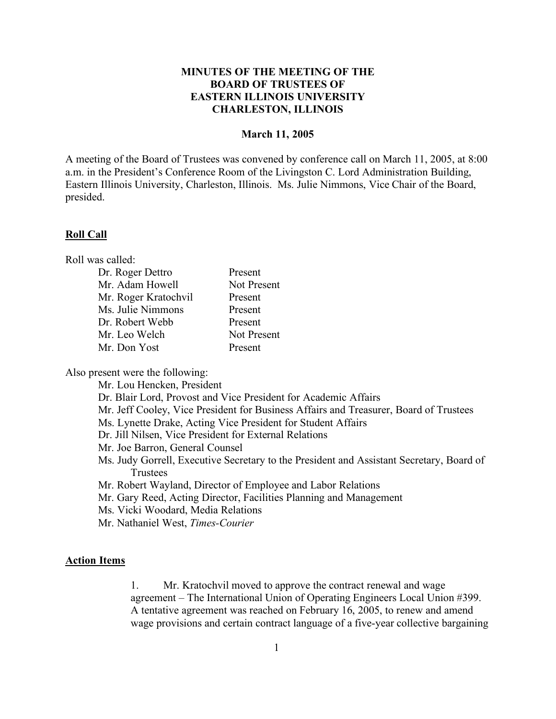# **MINUTES OF THE MEETING OF THE BOARD OF TRUSTEES OF EASTERN ILLINOIS UNIVERSITY CHARLESTON, ILLINOIS**

## **March 11, 2005**

A meeting of the Board of Trustees was convened by conference call on March 11, 2005, at 8:00 a.m. in the President's Conference Room of the Livingston C. Lord Administration Building, Eastern Illinois University, Charleston, Illinois. Ms. Julie Nimmons, Vice Chair of the Board, presided.

#### **Roll Call**

Roll was called:

| Dr. Roger Dettro     | Present     |
|----------------------|-------------|
| Mr. Adam Howell      | Not Present |
| Mr. Roger Kratochvil | Present     |
| Ms. Julie Nimmons    | Present     |
| Dr. Robert Webb      | Present     |
| Mr. Leo Welch        | Not Present |
| Mr. Don Yost         | Present     |

Also present were the following:

Mr. Lou Hencken, President Dr. Blair Lord, Provost and Vice President for Academic Affairs Mr. Jeff Cooley, Vice President for Business Affairs and Treasurer, Board of Trustees Ms. Lynette Drake, Acting Vice President for Student Affairs Dr. Jill Nilsen, Vice President for External Relations Mr. Joe Barron, General Counsel Ms. Judy Gorrell, Executive Secretary to the President and Assistant Secretary, Board of **Trustees** Mr. Robert Wayland, Director of Employee and Labor Relations Mr. Gary Reed, Acting Director, Facilities Planning and Management Ms. Vicki Woodard, Media Relations

Mr. Nathaniel West, *Times-Courier*

## **Action Items**

1. Mr. Kratochvil moved to approve the contract renewal and wage agreement – The International Union of Operating Engineers Local Union #399. A tentative agreement was reached on February 16, 2005, to renew and amend wage provisions and certain contract language of a five-year collective bargaining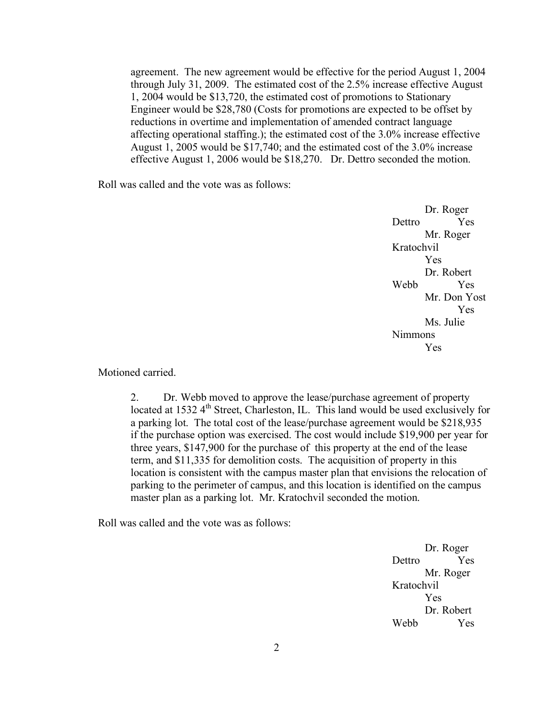agreement. The new agreement would be effective for the period August 1, 2004 through July 31, 2009. The estimated cost of the 2.5% increase effective August 1, 2004 would be \$13,720, the estimated cost of promotions to Stationary Engineer would be \$28,780 (Costs for promotions are expected to be offset by reductions in overtime and implementation of amended contract language affecting operational staffing.); the estimated cost of the 3.0% increase effective August 1, 2005 would be \$17,740; and the estimated cost of the 3.0% increase effective August 1, 2006 would be \$18,270. Dr. Dettro seconded the motion.

Roll was called and the vote was as follows:

Dr. Roger Dettro Yes Mr. Roger Kratochvil Yes Dr. Robert Webb Yes Mr. Don Yost Yes Ms. Julie Nimmons Yes

Motioned carried.

2. Dr. Webb moved to approve the lease/purchase agreement of property located at  $1532.4<sup>th</sup>$  Street, Charleston, IL. This land would be used exclusively for a parking lot. The total cost of the lease/purchase agreement would be \$218,935 if the purchase option was exercised. The cost would include \$19,900 per year for three years, \$147,900 for the purchase of this property at the end of the lease term, and \$11,335 for demolition costs. The acquisition of property in this location is consistent with the campus master plan that envisions the relocation of parking to the perimeter of campus, and this location is identified on the campus master plan as a parking lot. Mr. Kratochvil seconded the motion.

Roll was called and the vote was as follows:

Dr. Roger Dettro Yes Mr. Roger Kratochvil Yes Dr. Robert Webb Yes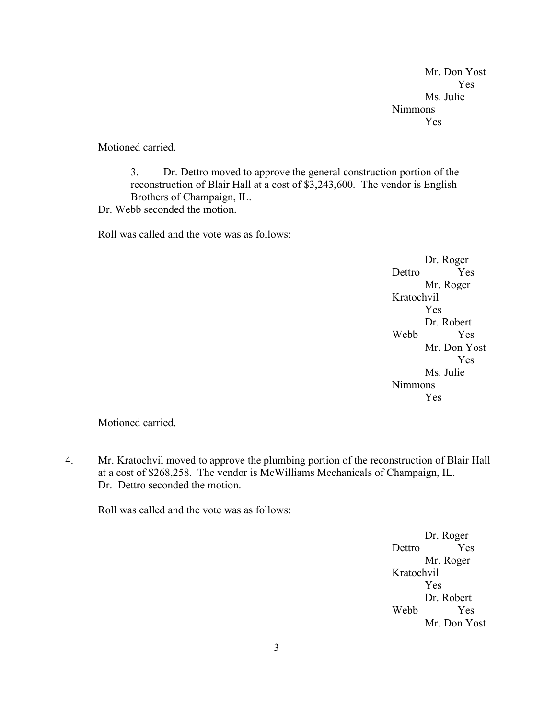Mr. Don Yost Yes Ms. Julie Nimmons Yes

Motioned carried.

3. Dr. Dettro moved to approve the general construction portion of the reconstruction of Blair Hall at a cost of \$3,243,600. The vendor is English Brothers of Champaign, IL.

Dr. Webb seconded the motion.

Roll was called and the vote was as follows:

Dr. Roger Dettro Yes Mr. Roger Kratochvil Yes Dr. Robert Webb Yes Mr. Don Yost Yes Ms. Julie Nimmons Yes

Motioned carried.

4. Mr. Kratochvil moved to approve the plumbing portion of the reconstruction of Blair Hall at a cost of \$268,258. The vendor is McWilliams Mechanicals of Champaign, IL. Dr. Dettro seconded the motion.

Roll was called and the vote was as follows:

Dr. Roger Dettro Yes Mr. Roger Kratochvil Yes Dr. Robert Webb Yes Mr. Don Yost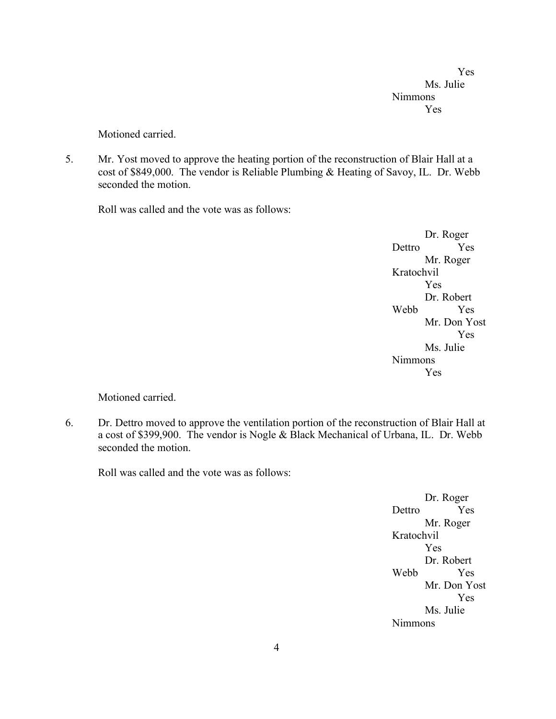Yes Ms. Julie Nimmons Yes

Motioned carried.

5. Mr. Yost moved to approve the heating portion of the reconstruction of Blair Hall at a cost of \$849,000. The vendor is Reliable Plumbing & Heating of Savoy, IL. Dr. Webb seconded the motion.

Roll was called and the vote was as follows:

Dr. Roger Dettro Yes Mr. Roger Kratochvil Yes Dr. Robert Webb Yes Mr. Don Yost Yes Ms. Julie Nimmons Yes

Motioned carried.

6. Dr. Dettro moved to approve the ventilation portion of the reconstruction of Blair Hall at a cost of \$399,900. The vendor is Nogle & Black Mechanical of Urbana, IL. Dr. Webb seconded the motion.

Roll was called and the vote was as follows:

Dr. Roger Dettro Yes Mr. Roger Kratochvil Yes Dr. Robert Webb Yes Mr. Don Yost Yes Ms. Julie Nimmons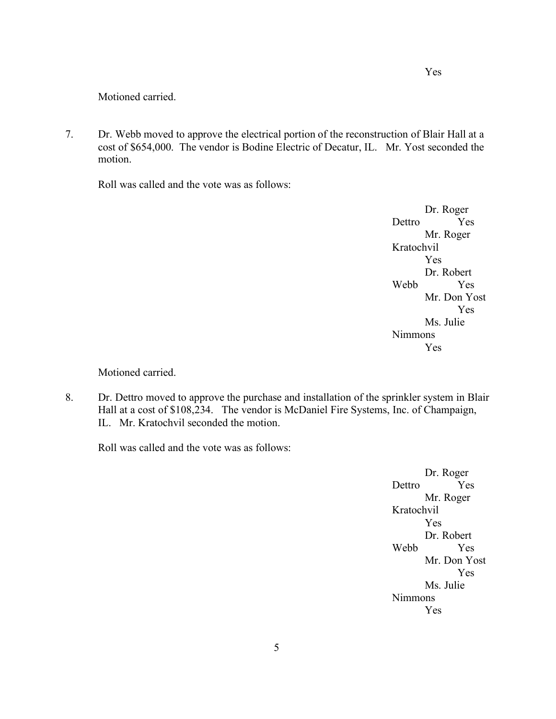Motioned carried.

7. Dr. Webb moved to approve the electrical portion of the reconstruction of Blair Hall at a cost of \$654,000. The vendor is Bodine Electric of Decatur, IL. Mr. Yost seconded the motion.

Roll was called and the vote was as follows:

Dr. Roger Dettro Yes Mr. Roger Kratochvil Yes Dr. Robert Webb Yes Mr. Don Yost Yes Ms. Julie Nimmons Yes

Motioned carried.

8. Dr. Dettro moved to approve the purchase and installation of the sprinkler system in Blair Hall at a cost of \$108,234. The vendor is McDaniel Fire Systems, Inc. of Champaign, IL. Mr. Kratochvil seconded the motion.

Roll was called and the vote was as follows:

Dr. Roger Dettro Yes Mr. Roger Kratochvil Yes Dr. Robert Webb Yes Mr. Don Yost Yes Ms. Julie Nimmons Yes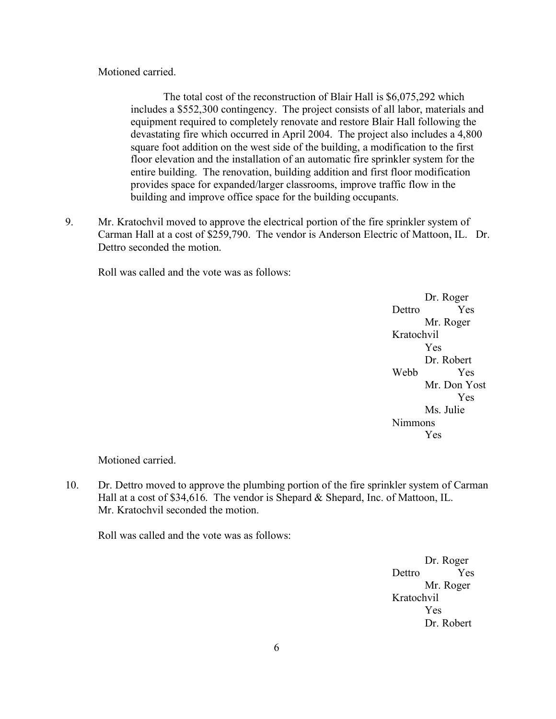# Motioned carried.

The total cost of the reconstruction of Blair Hall is \$6,075,292 which includes a \$552,300 contingency. The project consists of all labor, materials and equipment required to completely renovate and restore Blair Hall following the devastating fire which occurred in April 2004. The project also includes a 4,800 square foot addition on the west side of the building, a modification to the first floor elevation and the installation of an automatic fire sprinkler system for the entire building. The renovation, building addition and first floor modification provides space for expanded/larger classrooms, improve traffic flow in the building and improve office space for the building occupants.

9. Mr. Kratochvil moved to approve the electrical portion of the fire sprinkler system of Carman Hall at a cost of \$259,790. The vendor is Anderson Electric of Mattoon, IL. Dr. Dettro seconded the motion

Roll was called and the vote was as follows:

Dr. Roger Dettro Yes Mr. Roger Kratochvil Yes Dr. Robert Webb Yes Mr. Don Yost Yes Ms. Julie Nimmons Yes

Motioned carried.

10. Dr. Dettro moved to approve the plumbing portion of the fire sprinkler system of Carman Hall at a cost of \$34,616. The vendor is Shepard & Shepard, Inc. of Mattoon, IL. Mr. Kratochvil seconded the motion.

Roll was called and the vote was as follows:

Dr. Roger Dettro Yes Mr. Roger Kratochvil Yes Dr. Robert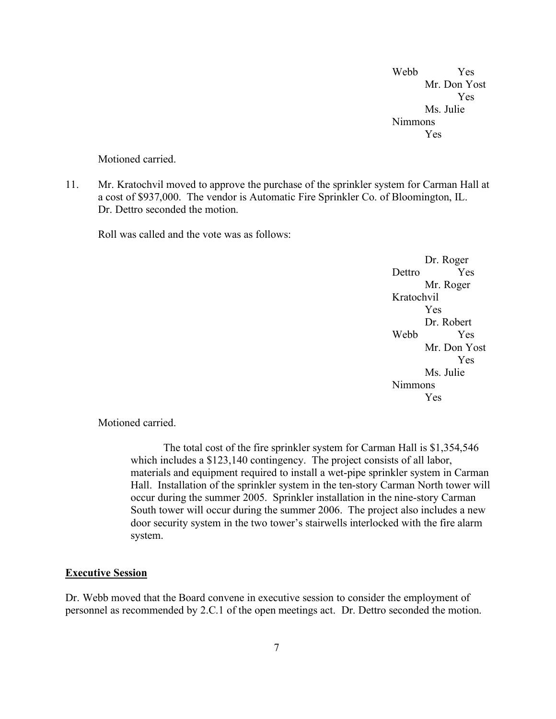Webb Yes Mr. Don Yost Yes Ms. Julie Nimmons Yes

Motioned carried.

11. Mr. Kratochvil moved to approve the purchase of the sprinkler system for Carman Hall at a cost of \$937,000. The vendor is Automatic Fire Sprinkler Co. of Bloomington, IL. Dr. Dettro seconded the motion.

Roll was called and the vote was as follows:

Dr. Roger Dettro Yes Mr. Roger Kratochvil Yes Dr. Robert Webb Yes Mr. Don Yost Yes Ms. Julie Nimmons Yes

Motioned carried.

The total cost of the fire sprinkler system for Carman Hall is \$1,354,546 which includes a \$123,140 contingency. The project consists of all labor, materials and equipment required to install a wet-pipe sprinkler system in Carman Hall. Installation of the sprinkler system in the ten-story Carman North tower will occur during the summer 2005. Sprinkler installation in the nine-story Carman South tower will occur during the summer 2006. The project also includes a new door security system in the two tower's stairwells interlocked with the fire alarm system.

#### **Executive Session**

Dr. Webb moved that the Board convene in executive session to consider the employment of personnel as recommended by 2.C.1 of the open meetings act. Dr. Dettro seconded the motion.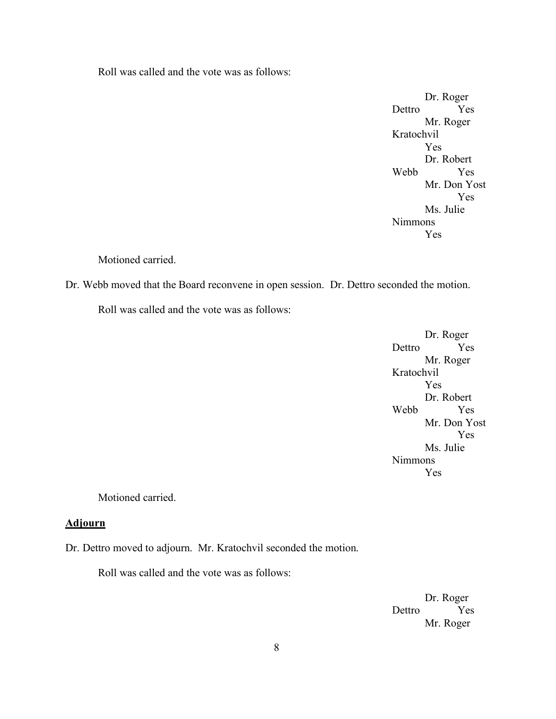Roll was called and the vote was as follows:

Dr. Roger Dettro Yes Mr. Roger Kratochvil Yes Dr. Robert Webb Yes Mr. Don Yost Yes Ms. Julie Nimmons Yes

## Motioned carried.

Dr. Webb moved that the Board reconvene in open session. Dr. Dettro seconded the motion.

Roll was called and the vote was as follows:

Dr. Roger Dettro Yes Mr. Roger Kratochvil Yes Dr. Robert Webb Yes Mr. Don Yost Yes Ms. Julie Nimmons Yes

Motioned carried.

### **Adjourn**

Dr. Dettro moved to adjourn. Mr. Kratochvil seconded the motion.

Roll was called and the vote was as follows:

Dr. Roger Dettro Yes Mr. Roger